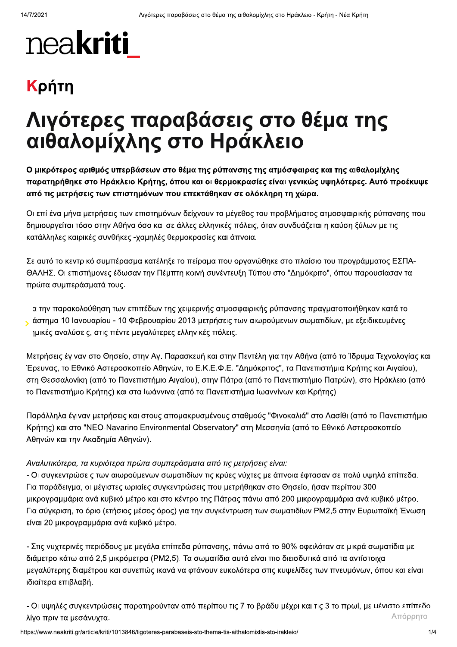# neakriti

### Κρήτη

## Λιγότερες παραβάσεις στο θέμα της αιθαλομίχλης στο Ηράκλειο

Ο μικρότερος αριθμός υπερβάσεων στο θέμα της ρύπανσης της ατμόσφαιρας και της αιθαλομίχλης παρατηρήθηκε στο Ηράκλειο Κρήτης, όπου και οι θερμοκρασίες είναι γενικώς υψηλότερες. Αυτό προέκυψε από τις μετρήσεις των επιστημόνων που επεκτάθηκαν σε ολόκληρη τη χώρα.

Οι επί ένα μήνα μετρήσεις των επιστημόνων δείχνουν το μέγεθος του προβλήματος ατμοσφαιρικής ρύπανσης που δημιουργείται τόσο στην Αθήνα όσο και σε άλλες ελληνικές πόλεις, όταν συνδυάζεται η καύση ξύλων με τις κατάλληλες καιρικές συνθήκες -χαμηλές θερμοκρασίες και άπνοια.

Σε αυτό το κεντρικό συμπέρασμα κατέληξε το πείραμα που οργανώθηκε στο πλαίσιο του προγράμματος ΕΣΠΑ-ΘΑΛΗΣ. Οι επιστήμονες έδωσαν την Πέμπτη κοινή συνέντευξη Τύπου στο "Δημόκριτο", όπου παρουσίασαν τα πρώτα συμπεράσματά τους.

α την παρακολούθηση των επιπέδων της χειμερινής ατμοσφαιρικής ρύπανσης πραγματοποιήθηκαν κατά το άστημα 10 Ιανουαρίου - 10 Φεβρουαρίου 2013 μετρήσεις των αιωρούμενων σωματιδίων, με εξειδικευμένες μικές αναλύσεις, στις πέντε μεγαλύτερες ελληνικές πόλεις.

Μετρήσεις έγιναν στο Θησείο, στην Αγ. Παρασκευή και στην Πεντέλη για την Αθήνα (από το Ίδρυμα Τεχνολογίας και Έρευνας, το Εθνικό Αστεροσκοπείο Αθηνών, το Ε.Κ.Ε.Φ.Ε. "Δημόκριτος", τα Πανεπιστήμια Κρήτης και Αιγαίου), στη Θεσσαλονίκη (από το Πανεπιστήμιο Αιγαίου), στην Πάτρα (από το Πανεπιστήμιο Πατρών), στο Ηράκλειο (από το Πανεπιστήμιο Κρήτης) και στα Ιωάννινα (από τα Πανεπιστήμια Ιωαννίνων και Κρήτης).

Παράλληλα έγιναν μετρήσεις και στους απομακρυσμένους σταθμούς "Φινοκαλιά" στο Λασίθι (από το Πανεπιστήμιο Κρήτης) και στο "NEO-Navarino Environmental Observatory" στη Μεσσηνία (από το Εθνικό Αστεροσκοπείο Αθηνών και την Ακαδημία Αθηνών).

#### Αναλυτικότερα, τα κυριότερα πρώτα συμπεράσματα από τις μετρήσεις είναι:

- Οι συγκεντρώσεις των αιωρούμενων σωματιδίων τις κρύες νύχτες με άπνοια έφτασαν σε πολύ υψηλά επίπεδα. Για παράδειγμα, οι μέγιστες ωριαίες συγκεντρώσεις που μετρήθηκαν στο Θησείο, ήσαν περίπου 300 μικρογραμμάρια ανά κυβικό μέτρο και στο κέντρο της Πάτρας πάνω από 200 μικρογραμμάρια ανά κυβικό μέτρο. Για σύγκριση, το όριο (ετήσιος μέσος όρος) για την συγκέντρωση των σωματιδίων PM2,5 στην Ευρωπαϊκή Ένωση είναι 20 μικρογραμμάρια ανά κυβικό μέτρο.

- Στις νυχτερινές περιόδους με μεγάλα επίπεδα ρύπανσης, πάνω από το 90% οφειλόταν σε μικρά σωματίδια με διάμετρο κάτω από 2,5 μικρόμετρα (PM2,5). Τα σωματίδια αυτά είναι πιο διεισδυτικά από τα αντίστοιχα μεγαλύτερης διαμέτρου και συνεπώς ικανά να φτάνουν ευκολότερα στις κυψελίδες των πνευμόνων, όπου και είναι ιδιαίτερα επιβλαβή.

- Οι υψηλές συγκεντρώσεις παρατηρούνταν από περίπου τις 7 το βράδυ μέχρι και τις 3 το πρωί, με μένιστο επίπεδο Απόρρητο λίγο πριν τα μεσάνυχτα.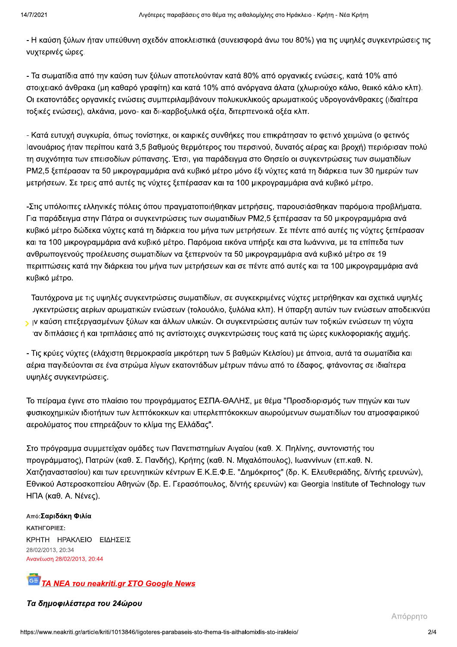- Η καύση ξύλων ήταν υπεύθυνη σχεδόν αποκλειστικά (συνεισφορά άνω του 80%) για τις υψηλές συγκεντρώσεις τις νυχτερινές ώρες.

- Τα σωματίδια από την καύση των ξύλων αποτελούνταν κατά 80% από οργανικές ενώσεις, κατά 10% από στοιχειακό άνθρακα (μη καθαρό γραφίτη) και κατά 10% από ανόργανα άλατα (χλωριούχο κάλιο, θειικό κάλιο κλπ). Οι εκατοντάδες ορνανικές ενώσεις συμπεριλαμβάνουν πολυκυκλικούς αρωματικούς υδρογονάνθρακες (ιδιαίτερα τοξικές ενώσεις), αλκάνια, μονο- και δι-καρβοξυλικά οξέα, διτερπενοικά οξέα κλπ.

- Κατά ευτυχή συγκυρία, όπως τονίστηκε, οι καιρικές συνθήκες που επικράτησαν το φετινό χειμώνα (ο φετινός Ιανουάριος ήταν περίπου κατά 3,5 βαθμούς θερμότερος του περσινού, δυνατός αέρας και βροχή) περιόρισαν πολύ τη συχνότητα των επεισοδίων ρύπανσης. Έτσι, για παράδειγμα στο Θησείο οι συγκεντρώσεις των σωματιδίων ΡΜ2,5 ξεπέρασαν τα 50 μικρογραμμάρια ανά κυβικό μέτρο μόνο έξι νύχτες κατά τη διάρκεια των 30 ημερών των μετρήσεων. Σε τρεις από αυτές τις νύχτες ξεπέρασαν και τα 100 μικρογραμμάρια ανά κυβικό μέτρο.

-Στις υπόλοιπες ελληνικές πόλεις όπου πραγματοποιήθηκαν μετρήσεις, παρουσιάσθηκαν παρόμοια προβλήματα. Για παράδειγμα στην Πάτρα οι συγκεντρώσεις των σωματιδίων PM2,5 ξεπέρασαν τα 50 μικρογραμμάρια ανά κυβικό μέτρο δώδεκα νύχτες κατά τη διάρκεια του μήνα των μετρήσεων. Σε πέντε από αυτές τις νύχτες ξεπέρασαν και τα 100 μικρογραμμάρια ανά κυβικό μέτρο. Παρόμοια εικόνα υπήρξε και στα Ιωάννινα, με τα επίπεδα των ανθρωπογενούς προέλευσης σωματιδίων να ξεπερνούν τα 50 μικρογραμμάρια ανά κυβικό μέτρο σε 19 περιπτώσεις κατά την διάρκεια του μήνα των μετρήσεων και σε πέντε από αυτές και τα 100 μικρογραμμάρια ανά κυβικό μέτρο.

Ταυτόχρονα με τις υψηλές συγκεντρώσεις σωματιδίων, σε συγκεκριμένες νύχτες μετρήθηκαν και σχετικά υψηλές ιγκεντρώσεις αερίων αρωματικών ενώσεων (τολουόλιο, ξυλόλια κλπ). Η ύπαρξη αυτών των ενώσεων αποδεικνύει ν ιν καύση επεξεργασμένων ξύλων και άλλων υλικών. Οι συγκεντρώσεις αυτών των τοξικών ενώσεων τη νύχτα ιαν διπλάσιες ή και τριπλάσιες από τις αντίστοιχες συγκεντρώσεις τους κατά τις ώρες κυκλοφοριακής αιχμής.

- Τις κρύες νύχτες (ελάχιστη θερμοκρασία μικρότερη των 5 βαθμών Κελσίου) με άπνοια, αυτά τα σωματίδια και αέρια παγιδεύονται σε ένα στρώμα λίγων εκατοντάδων μέτρων πάνω από το έδαφος, φτάνοντας σε ιδιαίτερα υψηλές συγκεντρώσεις.

Το πείραμα έγινε στο πλαίσιο του προγράμματος ΕΣΠΑ-ΘΑΛΗΣ, με θέμα "Προσδιορισμός των πηγών και των φυσικοχημικών ιδιοτήτων των λεπτόκοκκων και υπερλεπτόκοκκων αιωρούμενων σωματιδίων του ατμοσφαιρικού αερολύματος που επηρεάζουν το κλίμα της Ελλάδας".

Στο πρόγραμμα συμμετείχαν ομάδες των Πανεπιστημίων Αιγαίου (καθ. Χ. Πηλίνης, συντονιστής του προγράμματος), Πατρών (καθ. Σ. Πανδής), Κρήτης (καθ. Ν. Μιχαλόπουλος), Ιωαννίνων (επ.καθ. Ν. Χατζηαναστασίου) και των ερευνητικών κέντρων Ε.Κ.Ε.Φ.Ε. "Δημόκριτος" (δρ. Κ. Ελευθεριάδης, δ/ντής ερευνών), Εθνικού Αστεροσκοπείου Αθηνών (δρ. Ε. Γερασόπουλος, δ/ντής ερευνών) και Georgia Institute of Technology των ΗΠΑ (καθ. Α. Νένες).

Από: Σαριδάκη Φιλία ΚΑΤΗΓΟΡΙΕΣ: ΚΡΗΤΗ ΗΡΑΚΛΕΙΟ ΕΙΔΗΣΕΙΣ 28/02/2013, 20:34 Ανανέωση 28/02/2013, 20:44



Τα δημοφιλέστερα του 24ώρου

Απόρρητο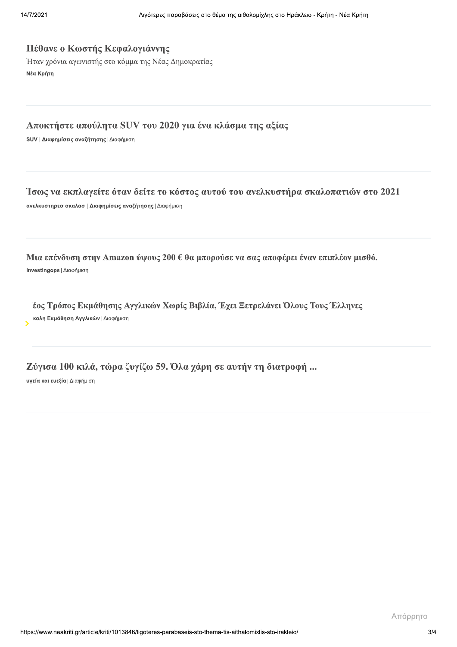#### Πέθανε ο Κωστής Κεφαλογιάννης

Ήταν χρόνια αγωνιστής στο κόμμα της Νέας Δημοκρατίας Νέα Κρήτη

#### Αποκτήστε απούλητα SUV του 2020 για ένα κλάσμα της αξίας

SUV | Διαφημίσεις αναζήτησης | Διαφήμιση

#### Ίσως να εκπλαγείτε όταν δείτε το κόστος αυτού του ανελκυστήρα σκαλοπατιών στο 2021

ανελκυστηρεσ σκαλασ | Διαφημίσεις αναζήτησης | Διαφήμιση

Μια επένδυση στην Amazon ύψους 200 € θα μπορούσε να σας αποφέρει έναν επιπλέον μισθό. Investingops | Διαφήμιση

έος Τρόπος Εκμάθησης Αγγλικών Χωρίς Βιβλία, Έχει Ξετρελάνει Όλους Τους Έλληνες κολη Εκμάθηση Αγγλικών | Διαφήμιση

Ζύγισα 100 κιλά, τώρα ζυγίζω 59. Όλα χάρη σε αυτήν τη διατροφή ...

υγεία και ευεξία | Διαφήμιση